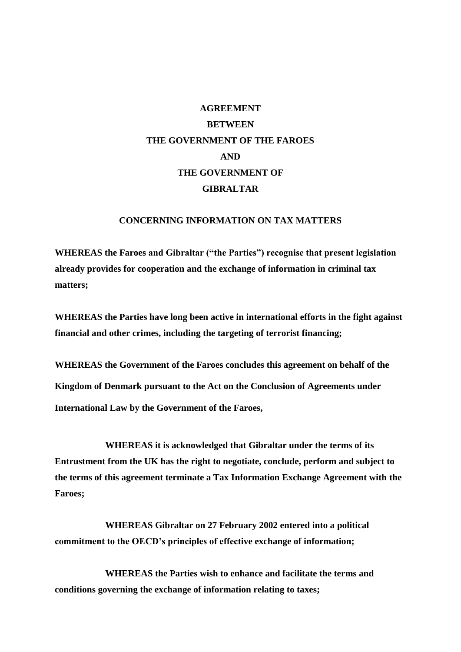# **AGREEMENT BETWEEN THE GOVERNMENT OF THE FAROES AND THE GOVERNMENT OF GIBRALTAR**

### **CONCERNING INFORMATION ON TAX MATTERS**

**WHEREAS the Faroes and Gibraltar ("the Parties") recognise that present legislation already provides for cooperation and the exchange of information in criminal tax matters;**

**WHEREAS the Parties have long been active in international efforts in the fight against financial and other crimes, including the targeting of terrorist financing;**

**WHEREAS the Government of the Faroes concludes this agreement on behalf of the Kingdom of Denmark pursuant to the Act on the Conclusion of Agreements under International Law by the Government of the Faroes,** 

**WHEREAS it is acknowledged that Gibraltar under the terms of its Entrustment from the UK has the right to negotiate, conclude, perform and subject to the terms of this agreement terminate a Tax Information Exchange Agreement with the Faroes;**

**WHEREAS Gibraltar on 27 February 2002 entered into a political commitment to the OECD's principles of effective exchange of information;**

**WHEREAS the Parties wish to enhance and facilitate the terms and conditions governing the exchange of information relating to taxes;**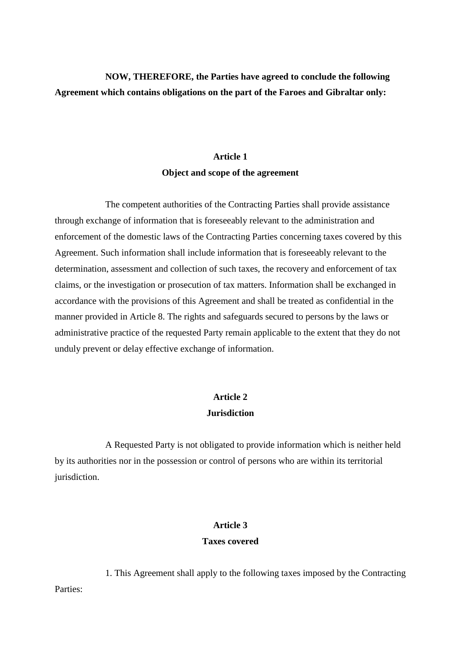# **NOW, THEREFORE, the Parties have agreed to conclude the following Agreement which contains obligations on the part of the Faroes and Gibraltar only:**

# **Article 1 Object and scope of the agreement**

The competent authorities of the Contracting Parties shall provide assistance through exchange of information that is foreseeably relevant to the administration and enforcement of the domestic laws of the Contracting Parties concerning taxes covered by this Agreement. Such information shall include information that is foreseeably relevant to the determination, assessment and collection of such taxes, the recovery and enforcement of tax claims, or the investigation or prosecution of tax matters. Information shall be exchanged in accordance with the provisions of this Agreement and shall be treated as confidential in the manner provided in Article 8. The rights and safeguards secured to persons by the laws or administrative practice of the requested Party remain applicable to the extent that they do not unduly prevent or delay effective exchange of information.

### **Article 2**

#### **Jurisdiction**

A Requested Party is not obligated to provide information which is neither held by its authorities nor in the possession or control of persons who are within its territorial jurisdiction.

### **Article 3**

#### **Taxes covered**

1. This Agreement shall apply to the following taxes imposed by the Contracting Parties: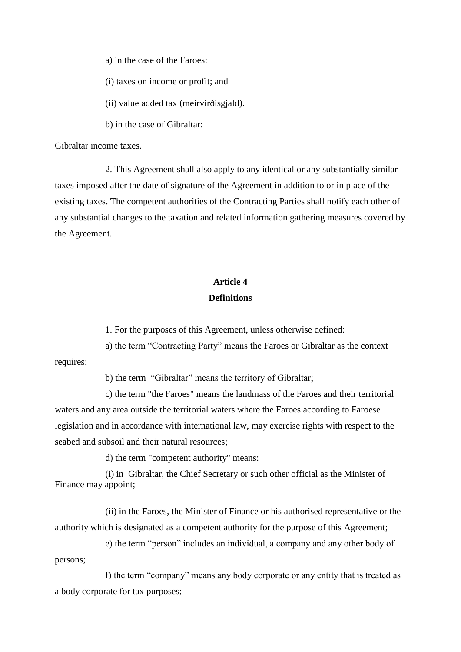a) in the case of the Faroes:

(i) taxes on income or profit; and

(ii) value added tax (meirvirðisgjald).

b) in the case of Gibraltar:

Gibraltar income taxes.

2. This Agreement shall also apply to any identical or any substantially similar taxes imposed after the date of signature of the Agreement in addition to or in place of the existing taxes. The competent authorities of the Contracting Parties shall notify each other of any substantial changes to the taxation and related information gathering measures covered by the Agreement.

### **Article 4 Definitions**

1. For the purposes of this Agreement, unless otherwise defined:

a) the term "Contracting Party" means the Faroes or Gibraltar as the context requires;

b) the term "Gibraltar" means the territory of Gibraltar;

c) the term "the Faroes" means the landmass of the Faroes and their territorial waters and any area outside the territorial waters where the Faroes according to Faroese legislation and in accordance with international law, may exercise rights with respect to the seabed and subsoil and their natural resources;

d) the term "competent authority" means:

(i) in Gibraltar, the Chief Secretary or such other official as the Minister of Finance may appoint;

(ii) in the Faroes, the Minister of Finance or his authorised representative or the authority which is designated as a competent authority for the purpose of this Agreement;

e) the term "person" includes an individual, a company and any other body of persons;

f) the term "company" means any body corporate or any entity that is treated as a body corporate for tax purposes;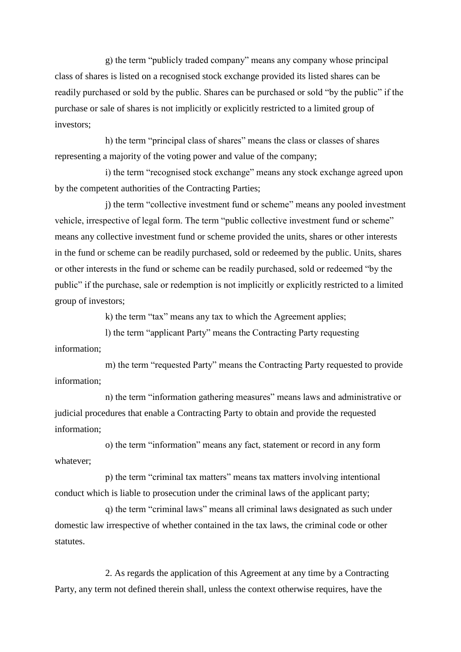g) the term "publicly traded company" means any company whose principal class of shares is listed on a recognised stock exchange provided its listed shares can be readily purchased or sold by the public. Shares can be purchased or sold "by the public" if the purchase or sale of shares is not implicitly or explicitly restricted to a limited group of investors;

h) the term "principal class of shares" means the class or classes of shares representing a majority of the voting power and value of the company;

i) the term "recognised stock exchange" means any stock exchange agreed upon by the competent authorities of the Contracting Parties;

j) the term "collective investment fund or scheme" means any pooled investment vehicle, irrespective of legal form. The term "public collective investment fund or scheme" means any collective investment fund or scheme provided the units, shares or other interests in the fund or scheme can be readily purchased, sold or redeemed by the public. Units, shares or other interests in the fund or scheme can be readily purchased, sold or redeemed "by the public" if the purchase, sale or redemption is not implicitly or explicitly restricted to a limited group of investors;

k) the term "tax" means any tax to which the Agreement applies;

l) the term "applicant Party" means the Contracting Party requesting information;

m) the term "requested Party" means the Contracting Party requested to provide information;

n) the term "information gathering measures" means laws and administrative or judicial procedures that enable a Contracting Party to obtain and provide the requested information;

o) the term "information" means any fact, statement or record in any form whatever;

p) the term "criminal tax matters" means tax matters involving intentional conduct which is liable to prosecution under the criminal laws of the applicant party;

q) the term "criminal laws" means all criminal laws designated as such under domestic law irrespective of whether contained in the tax laws, the criminal code or other statutes.

2. As regards the application of this Agreement at any time by a Contracting Party, any term not defined therein shall, unless the context otherwise requires, have the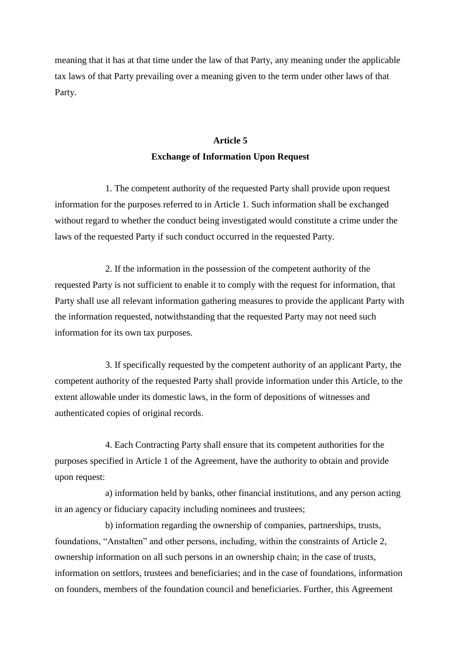meaning that it has at that time under the law of that Party, any meaning under the applicable tax laws of that Party prevailing over a meaning given to the term under other laws of that Party.

# **Article 5 Exchange of Information Upon Request**

1. The competent authority of the requested Party shall provide upon request information for the purposes referred to in Article 1. Such information shall be exchanged without regard to whether the conduct being investigated would constitute a crime under the laws of the requested Party if such conduct occurred in the requested Party.

2. If the information in the possession of the competent authority of the requested Party is not sufficient to enable it to comply with the request for information, that Party shall use all relevant information gathering measures to provide the applicant Party with the information requested, notwithstanding that the requested Party may not need such information for its own tax purposes.

3. If specifically requested by the competent authority of an applicant Party, the competent authority of the requested Party shall provide information under this Article, to the extent allowable under its domestic laws, in the form of depositions of witnesses and authenticated copies of original records.

4. Each Contracting Party shall ensure that its competent authorities for the purposes specified in Article 1 of the Agreement, have the authority to obtain and provide upon request:

a) information held by banks, other financial institutions, and any person acting in an agency or fiduciary capacity including nominees and trustees;

b) information regarding the ownership of companies, partnerships, trusts, foundations, "Anstalten" and other persons, including, within the constraints of Article 2, ownership information on all such persons in an ownership chain; in the case of trusts, information on settlors, trustees and beneficiaries; and in the case of foundations, information on founders, members of the foundation council and beneficiaries. Further, this Agreement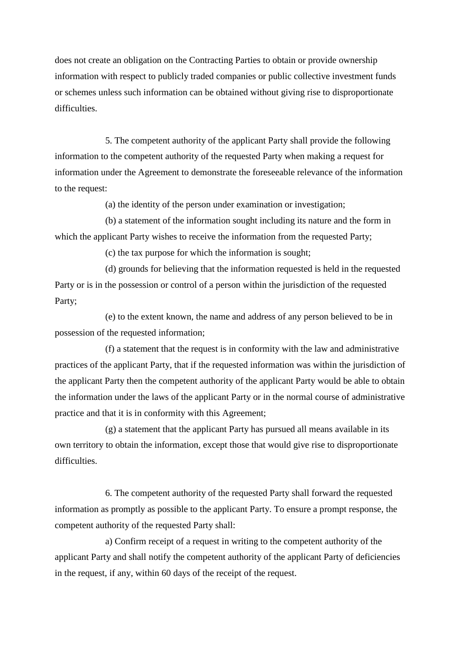does not create an obligation on the Contracting Parties to obtain or provide ownership information with respect to publicly traded companies or public collective investment funds or schemes unless such information can be obtained without giving rise to disproportionate difficulties.

5. The competent authority of the applicant Party shall provide the following information to the competent authority of the requested Party when making a request for information under the Agreement to demonstrate the foreseeable relevance of the information to the request:

(a) the identity of the person under examination or investigation;

(b) a statement of the information sought including its nature and the form in which the applicant Party wishes to receive the information from the requested Party;

(c) the tax purpose for which the information is sought;

(d) grounds for believing that the information requested is held in the requested Party or is in the possession or control of a person within the jurisdiction of the requested Party;

(e) to the extent known, the name and address of any person believed to be in possession of the requested information;

(f) a statement that the request is in conformity with the law and administrative practices of the applicant Party, that if the requested information was within the jurisdiction of the applicant Party then the competent authority of the applicant Party would be able to obtain the information under the laws of the applicant Party or in the normal course of administrative practice and that it is in conformity with this Agreement;

(g) a statement that the applicant Party has pursued all means available in its own territory to obtain the information, except those that would give rise to disproportionate difficulties.

6. The competent authority of the requested Party shall forward the requested information as promptly as possible to the applicant Party. To ensure a prompt response, the competent authority of the requested Party shall:

a) Confirm receipt of a request in writing to the competent authority of the applicant Party and shall notify the competent authority of the applicant Party of deficiencies in the request, if any, within 60 days of the receipt of the request.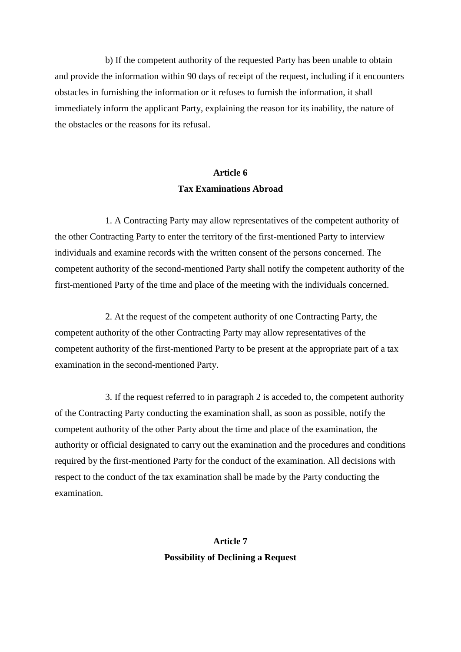b) If the competent authority of the requested Party has been unable to obtain and provide the information within 90 days of receipt of the request, including if it encounters obstacles in furnishing the information or it refuses to furnish the information, it shall immediately inform the applicant Party, explaining the reason for its inability, the nature of the obstacles or the reasons for its refusal.

## **Article 6 Tax Examinations Abroad**

1. A Contracting Party may allow representatives of the competent authority of the other Contracting Party to enter the territory of the first-mentioned Party to interview individuals and examine records with the written consent of the persons concerned. The competent authority of the second-mentioned Party shall notify the competent authority of the first-mentioned Party of the time and place of the meeting with the individuals concerned.

2. At the request of the competent authority of one Contracting Party, the competent authority of the other Contracting Party may allow representatives of the competent authority of the first-mentioned Party to be present at the appropriate part of a tax examination in the second-mentioned Party.

3. If the request referred to in paragraph 2 is acceded to, the competent authority of the Contracting Party conducting the examination shall, as soon as possible, notify the competent authority of the other Party about the time and place of the examination, the authority or official designated to carry out the examination and the procedures and conditions required by the first-mentioned Party for the conduct of the examination. All decisions with respect to the conduct of the tax examination shall be made by the Party conducting the examination.

## **Article 7 Possibility of Declining a Request**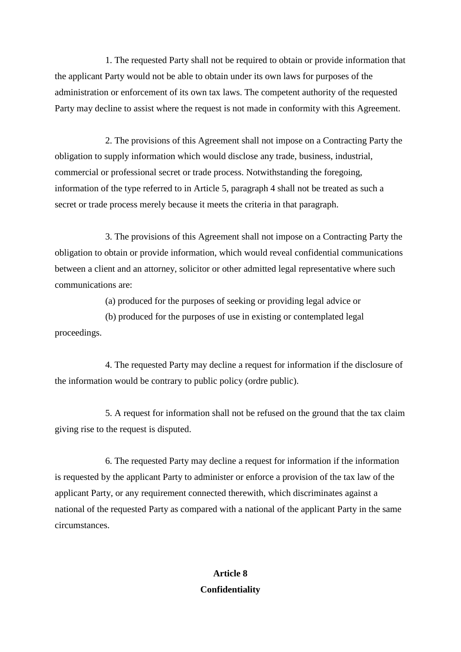1. The requested Party shall not be required to obtain or provide information that the applicant Party would not be able to obtain under its own laws for purposes of the administration or enforcement of its own tax laws. The competent authority of the requested Party may decline to assist where the request is not made in conformity with this Agreement.

2. The provisions of this Agreement shall not impose on a Contracting Party the obligation to supply information which would disclose any trade, business, industrial, commercial or professional secret or trade process. Notwithstanding the foregoing, information of the type referred to in Article 5, paragraph 4 shall not be treated as such a secret or trade process merely because it meets the criteria in that paragraph.

3. The provisions of this Agreement shall not impose on a Contracting Party the obligation to obtain or provide information, which would reveal confidential communications between a client and an attorney, solicitor or other admitted legal representative where such communications are:

(a) produced for the purposes of seeking or providing legal advice or

(b) produced for the purposes of use in existing or contemplated legal proceedings.

4. The requested Party may decline a request for information if the disclosure of the information would be contrary to public policy (ordre public).

5. A request for information shall not be refused on the ground that the tax claim giving rise to the request is disputed.

6. The requested Party may decline a request for information if the information is requested by the applicant Party to administer or enforce a provision of the tax law of the applicant Party, or any requirement connected therewith, which discriminates against a national of the requested Party as compared with a national of the applicant Party in the same circumstances.

# **Article 8 Confidentiality**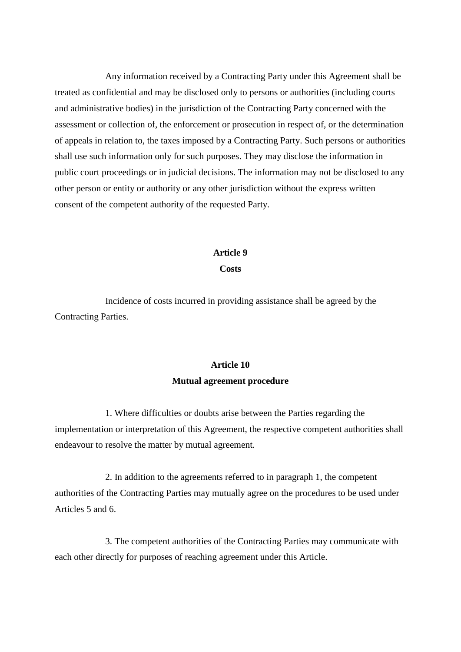Any information received by a Contracting Party under this Agreement shall be treated as confidential and may be disclosed only to persons or authorities (including courts and administrative bodies) in the jurisdiction of the Contracting Party concerned with the assessment or collection of, the enforcement or prosecution in respect of, or the determination of appeals in relation to, the taxes imposed by a Contracting Party. Such persons or authorities shall use such information only for such purposes. They may disclose the information in public court proceedings or in judicial decisions. The information may not be disclosed to any other person or entity or authority or any other jurisdiction without the express written consent of the competent authority of the requested Party.

#### **Article 9**

#### **Costs**

Incidence of costs incurred in providing assistance shall be agreed by the Contracting Parties.

# **Article 10 Mutual agreement procedure**

1. Where difficulties or doubts arise between the Parties regarding the implementation or interpretation of this Agreement, the respective competent authorities shall endeavour to resolve the matter by mutual agreement.

2. In addition to the agreements referred to in paragraph 1, the competent authorities of the Contracting Parties may mutually agree on the procedures to be used under Articles 5 and 6.

3. The competent authorities of the Contracting Parties may communicate with each other directly for purposes of reaching agreement under this Article.